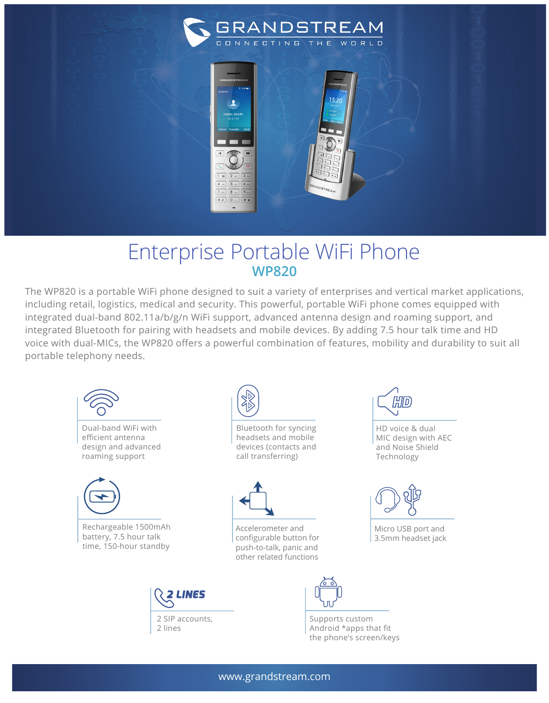

## Enterprise Portable WiFi Phone **WP820**

 $1 \in \boxed{2 \text{ and } 3 \in \boxed{3 \in \boxed{3 \in \boxed{3 \in \boxed{3 \in \boxed{3 \in \boxed{3 \in \boxed{3 \in \boxed{3 \in \boxed{3 \in \boxed{3 \in \boxed{3 \in \boxed{3 \in \boxed{3 \in \boxed{3 \in \boxed{3 \in \boxed{3 \in \boxed{3 \in \boxed{3 \in \boxed{3 \in \boxed{3 \in \boxed{3 \in \boxed{3 \in \boxed{3 \in \boxed{3 \in \boxed{3 \in \boxed{3 \in \boxed{3 \in \boxed{3 \in \boxed{3 \in \boxed{3 \in \boxed{3 \in \boxed{3 \in \boxed{3 \in \boxed{3 \in$  $4 \t m 5 \t 5 \t m$  $8<sub>7</sub>$  $*$   $\circ$  0  $\circ$   $#$  a

The WP820 is a portable WiFi phone designed to suit a variety of enterprises and vertical market applications, including retail, logistics, medical and security. This powerful, portable WiFi phone comes equipped with integrated dual-band 802.11a/b/g/n WiFi support, advanced antenna design and roaming support, and integrated Bluetooth for pairing with headsets and mobile devices. By adding 7.5 hour talk time and HD voice with dual-MICs, the WP820 offers a powerful combination of features, mobility and durability to suit all portable telephony needs.



HD voice & dual MIC design with AEC and Noise Shield



Micro USB port and 3.5mm headset jack